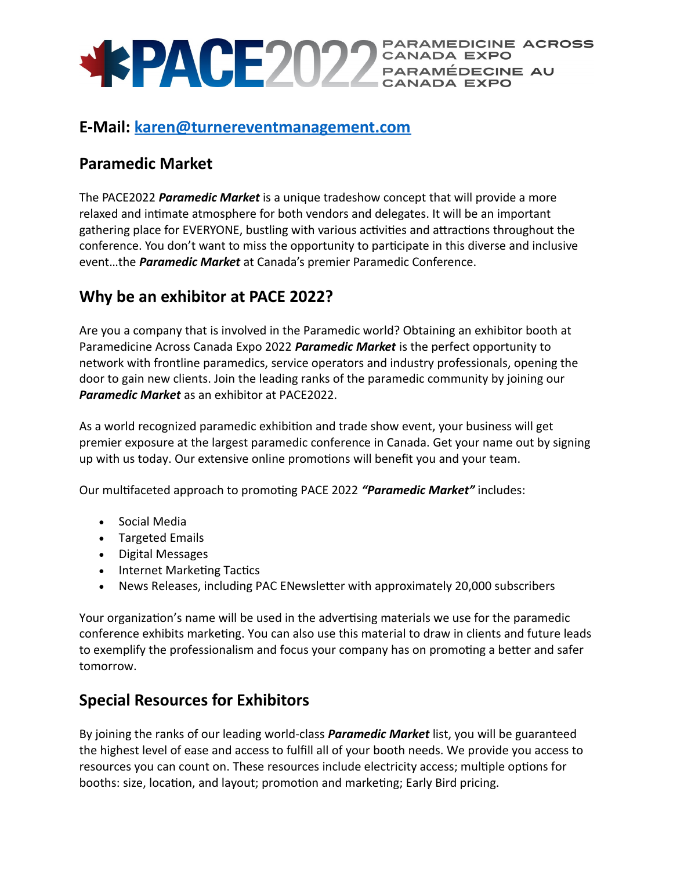

### **E-Mail: [karen@turnereventmanagement.com](mailto:karen@turnereventmanagement.com)**

## **Paramedic Market**

The PACE2022 *Paramedic Market* is a unique tradeshow concept that will provide a more relaxed and intimate atmosphere for both vendors and delegates. It will be an important gathering place for EVERYONE, bustling with various activities and attractions throughout the conference. You don't want to miss the opportunity to participate in this diverse and inclusive event…the *Paramedic Market* at Canada's premier Paramedic Conference.

## **Why be an exhibitor at PACE 2022?**

Are you a company that is involved in the Paramedic world? Obtaining an exhibitor booth at Paramedicine Across Canada Expo 2022 *Paramedic Market* is the perfect opportunity to network with frontline paramedics, service operators and industry professionals, opening the door to gain new clients. Join the leading ranks of the paramedic community by joining our *Paramedic Market* as an exhibitor at PACE2022.

As a world recognized paramedic exhibition and trade show event, your business will get premier exposure at the largest paramedic conference in Canada. Get your name out by signing up with us today. Our extensive online promotions will benefit you and your team.

Our multifaceted approach to promoting PACE 2022 *"Paramedic Market"* includes:

- Social Media
- Targeted Emails
- Digital Messages
- Internet Marketing Tactics
- News Releases, including PAC ENewsletter with approximately 20,000 subscribers

Your organization's name will be used in the advertising materials we use for the paramedic conference exhibits marketing. You can also use this material to draw in clients and future leads to exemplify the professionalism and focus your company has on promoting a better and safer tomorrow.

## **Special Resources for Exhibitors**

By joining the ranks of our leading world-class *Paramedic Market* list, you will be guaranteed the highest level of ease and access to fulfill all of your booth needs. We provide you access to resources you can count on. These resources include electricity access; multiple options for booths: size, location, and layout; promotion and marketing; Early Bird pricing.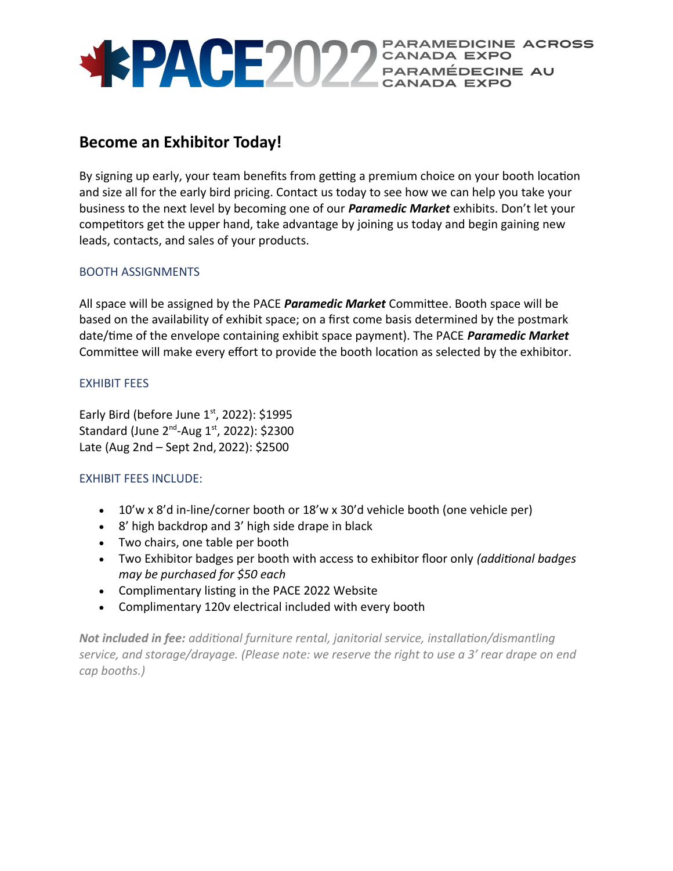

### **Become an Exhibitor Today!**

By signing up early, your team benefits from getting a premium choice on your booth location and size all for the early bird pricing. Contact us today to see how we can help you take your business to the next level by becoming one of our *Paramedic Market* exhibits. Don't let your competitors get the upper hand, take advantage by joining us today and begin gaining new leads, contacts, and sales of your products.

#### BOOTH ASSIGNMENTS

All space will be assigned by the PACE *Paramedic Market* Committee. Booth space will be based on the availability of exhibit space; on a first come basis determined by the postmark date/time of the envelope containing exhibit space payment). The PACE *Paramedic Market* Committee will make every effort to provide the booth location as selected by the exhibitor.

#### EXHIBIT FEES

Early Bird (before June  $1<sup>st</sup>$ , 2022): \$1995 Standard (June  $2^{nd}$ -Aug  $1^{st}$ , 2022): \$2300 Late (Aug 2nd – Sept 2nd, 2022): \$2500

#### EXHIBIT FEES INCLUDE:

- 10'w x 8'd in-line/corner booth or 18'w x 30'd vehicle booth (one vehicle per)
- 8' high backdrop and 3' high side drape in black
- Two chairs, one table per booth
- Two Exhibitor badges per booth with access to exhibitor floor only *(additional badges may be purchased for \$50 each*
- Complimentary listing in the PACE 2022 Website
- Complimentary 120v electrical included with every booth

*Not included in fee: additional furniture rental, janitorial service, installation/dismantling service, and storage/drayage. (Please note: we reserve the right to use a 3' rear drape on end cap booths.)*